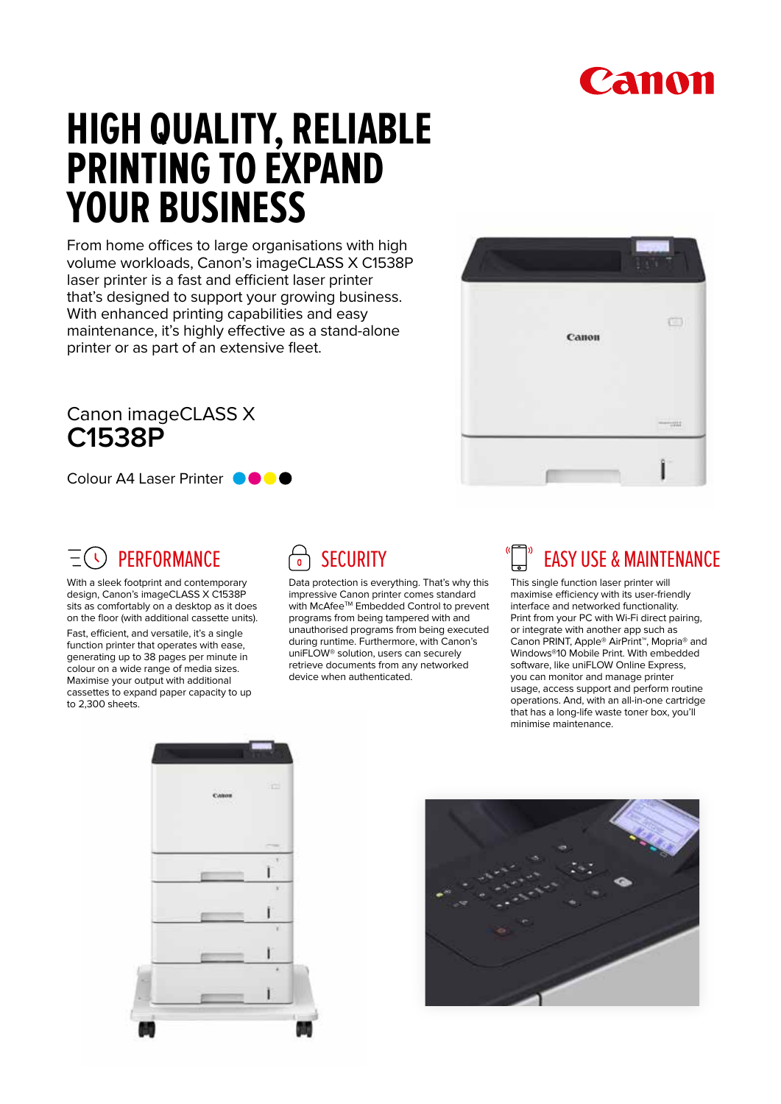## Canon

# **HIGH QUALITY, RELIABLE PRINTING TO EXPAND YOUR BUSINESS**

From home offices to large organisations with high volume workloads, Canon's imageCLASS X C1538P laser printer is a fast and efficient laser printer that's designed to support your growing business. With enhanced printing capabilities and easy maintenance, it's highly effective as a stand-alone printer or as part of an extensive fleet.

#### Canon imageCLASS X **C1538P**

Colour A4 Laser Printer **OOOO** 

#### **PERFORMANCE**

With a sleek footprint and contemporary design, Canon's imageCLASS X C1538P sits as comfortably on a desktop as it does on the floor (with additional cassette units).

Fast, efficient, and versatile, it's a single function printer that operates with ease, generating up to 38 pages per minute in colour on a wide range of media sizes. Maximise your output with additional cassettes to expand paper capacity to up to 2,300 sheets.

#### **SECURITY**

Data protection is everything. That's why this impressive Canon printer comes standard with McAfee™ Embedded Control to prevent programs from being tampered with and unauthorised programs from being executed during runtime. Furthermore, with Canon's uniFLOW® solution, users can securely retrieve documents from any networked device when authenticated.



### EASY USE & MAINTENANCE

This single function laser printer will maximise efficiency with its user-friendly interface and networked functionality. Print from your PC with Wi-Fi direct pairing, or integrate with another app such as Canon PRINT, Apple® AirPrint™, Mopria® and Windows®10 Mobile Print. With embedded software, like uniFLOW Online Express, you can monitor and manage printer usage, access support and perform routine operations. And, with an all-in-one cartridge that has a long-life waste toner box, you'll minimise maintenance.